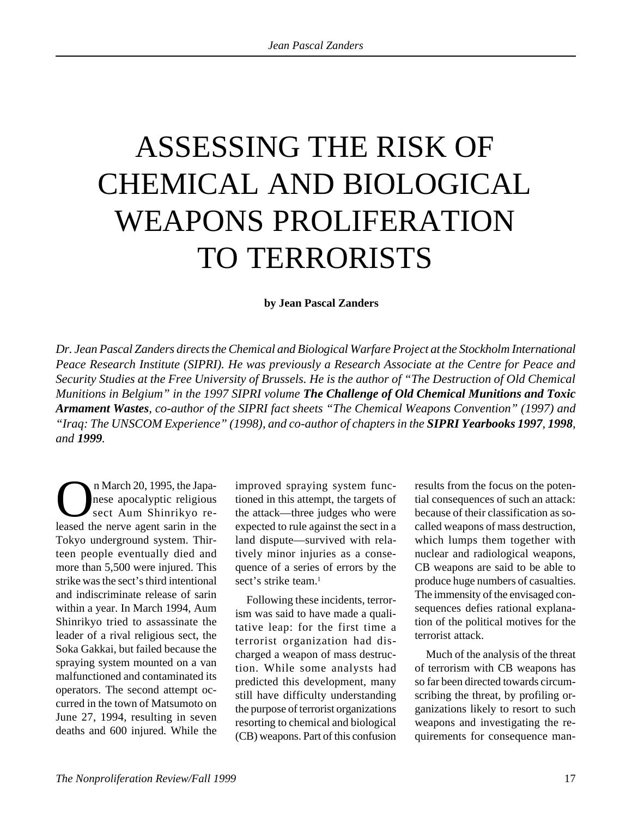# ASSESSING THE RISK OF CHEMICAL AND BIOLOGICAL WEAPONS PROLIFERATION TO TERRORISTS

**by Jean Pascal Zanders**

*Dr. Jean Pascal Zanders directs the Chemical and Biological Warfare Project at the Stockholm International Peace Research Institute (SIPRI). He was previously a Research Associate at the Centre for Peace and Security Studies at the Free University of Brussels. He is the author of "The Destruction of Old Chemical Munitions in Belgium" in the 1997 SIPRI volume The Challenge of Old Chemical Munitions and Toxic Armament Wastes, co-author of the SIPRI fact sheets "The Chemical Weapons Convention" (1997) and "Iraq: The UNSCOM Experience" (1998), and co-author of chapters in the SIPRI Yearbooks 1997, 1998, and 1999.*

**On** March 20, 1995, the Japa-<br>nese apocalyptic religious<br>leased the nerve agent sarin in the nese apocalyptic religious sect Aum Shinrikyo released the nerve agent sarin in the Tokyo underground system. Thirteen people eventually died and more than 5,500 were injured. This strike was the sect's third intentional and indiscriminate release of sarin within a year. In March 1994, Aum Shinrikyo tried to assassinate the leader of a rival religious sect, the Soka Gakkai, but failed because the spraying system mounted on a van malfunctioned and contaminated its operators. The second attempt occurred in the town of Matsumoto on June 27, 1994, resulting in seven deaths and 600 injured. While the

improved spraying system functioned in this attempt, the targets of the attack—three judges who were expected to rule against the sect in a land dispute—survived with relatively minor injuries as a consequence of a series of errors by the sect's strike team.<sup>1</sup>

Following these incidents, terrorism was said to have made a qualitative leap: for the first time a terrorist organization had discharged a weapon of mass destruction. While some analysts had predicted this development, many still have difficulty understanding the purpose of terrorist organizations resorting to chemical and biological (CB) weapons. Part of this confusion

results from the focus on the potential consequences of such an attack: because of their classification as socalled weapons of mass destruction, which lumps them together with nuclear and radiological weapons, CB weapons are said to be able to produce huge numbers of casualties. The immensity of the envisaged consequences defies rational explanation of the political motives for the terrorist attack.

Much of the analysis of the threat of terrorism with CB weapons has so far been directed towards circumscribing the threat, by profiling organizations likely to resort to such weapons and investigating the requirements for consequence man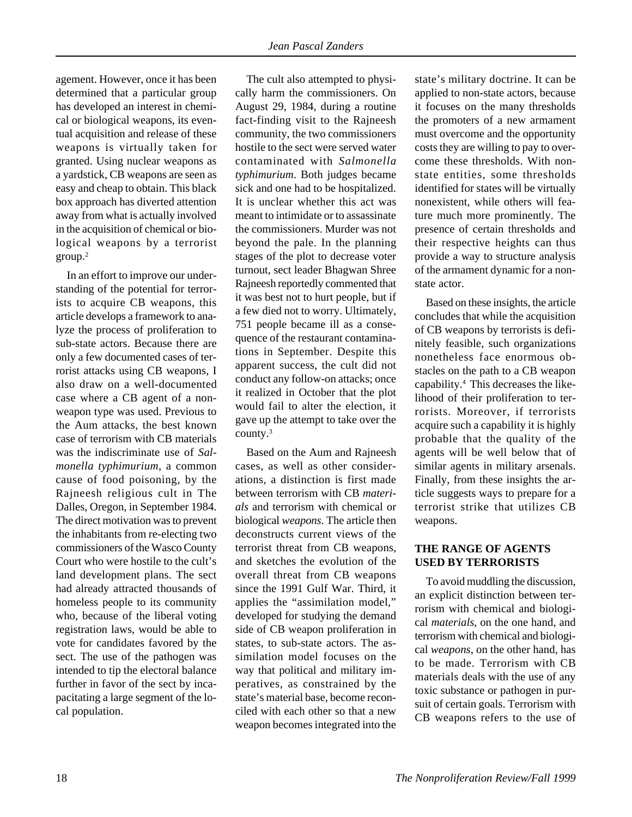agement. However, once it has been determined that a particular group has developed an interest in chemical or biological weapons, its eventual acquisition and release of these weapons is virtually taken for granted. Using nuclear weapons as a yardstick, CB weapons are seen as easy and cheap to obtain. This black box approach has diverted attention away from what is actually involved in the acquisition of chemical or biological weapons by a terrorist group.2

In an effort to improve our understanding of the potential for terrorists to acquire CB weapons, this article develops a framework to analyze the process of proliferation to sub-state actors. Because there are only a few documented cases of terrorist attacks using CB weapons, I also draw on a well-documented case where a CB agent of a nonweapon type was used. Previous to the Aum attacks, the best known case of terrorism with CB materials was the indiscriminate use of *Salmonella typhimurium*, a common cause of food poisoning, by the Rajneesh religious cult in The Dalles, Oregon, in September 1984. The direct motivation was to prevent the inhabitants from re-electing two commissioners of the Wasco County Court who were hostile to the cult's land development plans. The sect had already attracted thousands of homeless people to its community who, because of the liberal voting registration laws, would be able to vote for candidates favored by the sect. The use of the pathogen was intended to tip the electoral balance further in favor of the sect by incapacitating a large segment of the local population.

The cult also attempted to physically harm the commissioners. On August 29, 1984, during a routine fact-finding visit to the Rajneesh community, the two commissioners hostile to the sect were served water contaminated with *Salmonella typhimurium*. Both judges became sick and one had to be hospitalized. It is unclear whether this act was meant to intimidate or to assassinate the commissioners. Murder was not beyond the pale. In the planning stages of the plot to decrease voter turnout, sect leader Bhagwan Shree Rajneesh reportedly commented that it was best not to hurt people, but if a few died not to worry. Ultimately, 751 people became ill as a consequence of the restaurant contaminations in September. Despite this apparent success, the cult did not conduct any follow-on attacks; once it realized in October that the plot would fail to alter the election, it gave up the attempt to take over the county.3

Based on the Aum and Rajneesh cases, as well as other considerations, a distinction is first made between terrorism with CB *materials* and terrorism with chemical or biological *weapons*. The article then deconstructs current views of the terrorist threat from CB weapons, and sketches the evolution of the overall threat from CB weapons since the 1991 Gulf War. Third, it applies the "assimilation model," developed for studying the demand side of CB weapon proliferation in states, to sub-state actors. The assimilation model focuses on the way that political and military imperatives, as constrained by the state's material base, become reconciled with each other so that a new weapon becomes integrated into the

state's military doctrine. It can be applied to non-state actors, because it focuses on the many thresholds the promoters of a new armament must overcome and the opportunity costs they are willing to pay to overcome these thresholds. With nonstate entities, some thresholds identified for states will be virtually nonexistent, while others will feature much more prominently. The presence of certain thresholds and their respective heights can thus provide a way to structure analysis of the armament dynamic for a nonstate actor.

Based on these insights, the article concludes that while the acquisition of CB weapons by terrorists is definitely feasible, such organizations nonetheless face enormous obstacles on the path to a CB weapon capability.4 This decreases the likelihood of their proliferation to terrorists. Moreover, if terrorists acquire such a capability it is highly probable that the quality of the agents will be well below that of similar agents in military arsenals. Finally, from these insights the article suggests ways to prepare for a terrorist strike that utilizes CB weapons.

# **THE RANGE OF AGENTS USED BY TERRORISTS**

To avoid muddling the discussion, an explicit distinction between terrorism with chemical and biological *materials*, on the one hand, and terrorism with chemical and biological *weapons*, on the other hand, has to be made. Terrorism with CB materials deals with the use of any toxic substance or pathogen in pursuit of certain goals. Terrorism with CB weapons refers to the use of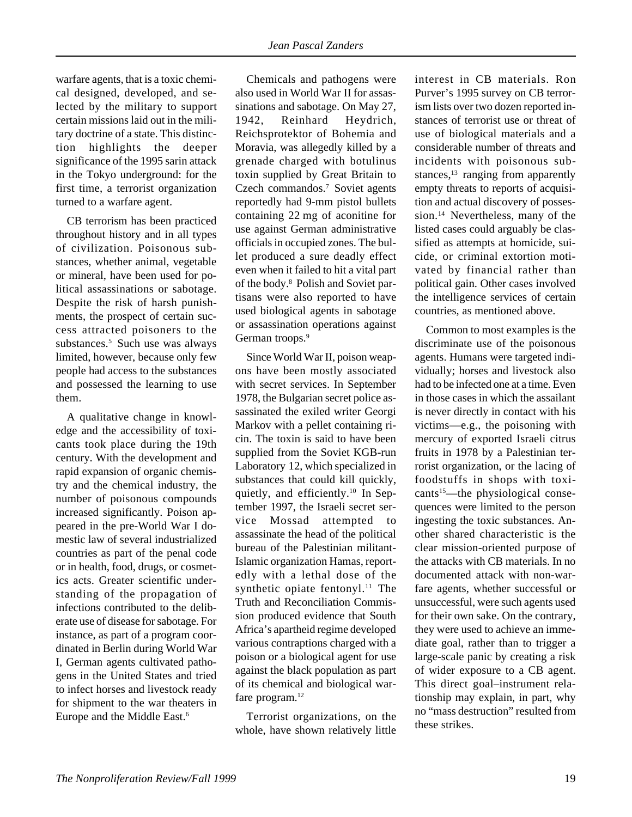warfare agents, that is a toxic chemical designed, developed, and selected by the military to support certain missions laid out in the military doctrine of a state. This distinction highlights the deeper significance of the 1995 sarin attack in the Tokyo underground: for the first time, a terrorist organization turned to a warfare agent.

CB terrorism has been practiced throughout history and in all types of civilization. Poisonous substances, whether animal, vegetable or mineral, have been used for political assassinations or sabotage. Despite the risk of harsh punishments, the prospect of certain success attracted poisoners to the substances.<sup>5</sup> Such use was always limited, however, because only few people had access to the substances and possessed the learning to use them.

A qualitative change in knowledge and the accessibility of toxicants took place during the 19th century. With the development and rapid expansion of organic chemistry and the chemical industry, the number of poisonous compounds increased significantly. Poison appeared in the pre-World War I domestic law of several industrialized countries as part of the penal code or in health, food, drugs, or cosmetics acts. Greater scientific understanding of the propagation of infections contributed to the deliberate use of disease for sabotage. For instance, as part of a program coordinated in Berlin during World War I, German agents cultivated pathogens in the United States and tried to infect horses and livestock ready for shipment to the war theaters in Europe and the Middle East.6

Chemicals and pathogens were also used in World War II for assassinations and sabotage. On May 27, 1942, Reinhard Heydrich, Reichsprotektor of Bohemia and Moravia, was allegedly killed by a grenade charged with botulinus toxin supplied by Great Britain to Czech commandos.<sup>7</sup> Soviet agents reportedly had 9-mm pistol bullets containing 22 mg of aconitine for use against German administrative officials in occupied zones. The bullet produced a sure deadly effect even when it failed to hit a vital part of the body.8 Polish and Soviet partisans were also reported to have used biological agents in sabotage or assassination operations against German troops.<sup>9</sup>

Since World War II, poison weapons have been mostly associated with secret services. In September 1978, the Bulgarian secret police assassinated the exiled writer Georgi Markov with a pellet containing ricin. The toxin is said to have been supplied from the Soviet KGB-run Laboratory 12, which specialized in substances that could kill quickly, quietly, and efficiently.10 In September 1997, the Israeli secret service Mossad attempted to assassinate the head of the political bureau of the Palestinian militant-Islamic organization Hamas, reportedly with a lethal dose of the synthetic opiate fentonyl.<sup>11</sup> The Truth and Reconciliation Commission produced evidence that South Africa's apartheid regime developed various contraptions charged with a poison or a biological agent for use against the black population as part of its chemical and biological warfare program.<sup>12</sup>

Terrorist organizations, on the whole, have shown relatively little interest in CB materials. Ron Purver's 1995 survey on CB terrorism lists over two dozen reported instances of terrorist use or threat of use of biological materials and a considerable number of threats and incidents with poisonous substances, $13$  ranging from apparently empty threats to reports of acquisition and actual discovery of possession.14 Nevertheless, many of the listed cases could arguably be classified as attempts at homicide, suicide, or criminal extortion motivated by financial rather than political gain. Other cases involved the intelligence services of certain countries, as mentioned above.

Common to most examples is the discriminate use of the poisonous agents. Humans were targeted individually; horses and livestock also had to be infected one at a time. Even in those cases in which the assailant is never directly in contact with his victims—e.g., the poisoning with mercury of exported Israeli citrus fruits in 1978 by a Palestinian terrorist organization, or the lacing of foodstuffs in shops with toxicants<sup>15</sup>—the physiological consequences were limited to the person ingesting the toxic substances. Another shared characteristic is the clear mission-oriented purpose of the attacks with CB materials. In no documented attack with non-warfare agents, whether successful or unsuccessful, were such agents used for their own sake. On the contrary, they were used to achieve an immediate goal, rather than to trigger a large-scale panic by creating a risk of wider exposure to a CB agent. This direct goal–instrument relationship may explain, in part, why no "mass destruction" resulted from these strikes.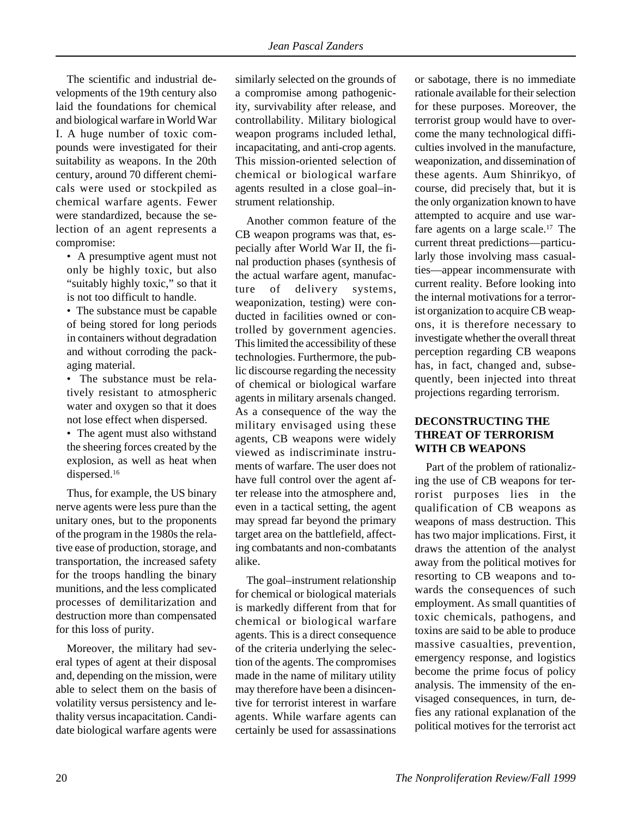The scientific and industrial developments of the 19th century also laid the foundations for chemical and biological warfare in World War I. A huge number of toxic compounds were investigated for their suitability as weapons. In the 20th century, around 70 different chemicals were used or stockpiled as chemical warfare agents. Fewer were standardized, because the selection of an agent represents a compromise:

• A presumptive agent must not only be highly toxic, but also "suitably highly toxic," so that it is not too difficult to handle.

• The substance must be capable of being stored for long periods in containers without degradation and without corroding the packaging material.

• The substance must be relatively resistant to atmospheric water and oxygen so that it does not lose effect when dispersed.

• The agent must also withstand the sheering forces created by the explosion, as well as heat when dispersed.<sup>16</sup>

Thus, for example, the US binary nerve agents were less pure than the unitary ones, but to the proponents of the program in the 1980s the relative ease of production, storage, and transportation, the increased safety for the troops handling the binary munitions, and the less complicated processes of demilitarization and destruction more than compensated for this loss of purity.

Moreover, the military had several types of agent at their disposal and, depending on the mission, were able to select them on the basis of volatility versus persistency and lethality versus incapacitation. Candidate biological warfare agents were

similarly selected on the grounds of a compromise among pathogenicity, survivability after release, and controllability. Military biological weapon programs included lethal, incapacitating, and anti-crop agents. This mission-oriented selection of chemical or biological warfare agents resulted in a close goal–instrument relationship.

Another common feature of the CB weapon programs was that, especially after World War II, the final production phases (synthesis of the actual warfare agent, manufacture of delivery systems, weaponization, testing) were conducted in facilities owned or controlled by government agencies. This limited the accessibility of these technologies. Furthermore, the public discourse regarding the necessity of chemical or biological warfare agents in military arsenals changed. As a consequence of the way the military envisaged using these agents, CB weapons were widely viewed as indiscriminate instruments of warfare. The user does not have full control over the agent after release into the atmosphere and, even in a tactical setting, the agent may spread far beyond the primary target area on the battlefield, affecting combatants and non-combatants alike.

The goal–instrument relationship for chemical or biological materials is markedly different from that for chemical or biological warfare agents. This is a direct consequence of the criteria underlying the selection of the agents. The compromises made in the name of military utility may therefore have been a disincentive for terrorist interest in warfare agents. While warfare agents can certainly be used for assassinations or sabotage, there is no immediate rationale available for their selection for these purposes. Moreover, the terrorist group would have to overcome the many technological difficulties involved in the manufacture, weaponization, and dissemination of these agents. Aum Shinrikyo, of course, did precisely that, but it is the only organization known to have attempted to acquire and use warfare agents on a large scale.<sup>17</sup> The current threat predictions—particularly those involving mass casualties—appear incommensurate with current reality. Before looking into the internal motivations for a terrorist organization to acquire CB weapons, it is therefore necessary to investigate whether the overall threat perception regarding CB weapons has, in fact, changed and, subsequently, been injected into threat projections regarding terrorism.

## **DECONSTRUCTING THE THREAT OF TERRORISM WITH CB WEAPONS**

Part of the problem of rationalizing the use of CB weapons for terrorist purposes lies in the qualification of CB weapons as weapons of mass destruction. This has two major implications. First, it draws the attention of the analyst away from the political motives for resorting to CB weapons and towards the consequences of such employment. As small quantities of toxic chemicals, pathogens, and toxins are said to be able to produce massive casualties, prevention, emergency response, and logistics become the prime focus of policy analysis. The immensity of the envisaged consequences, in turn, defies any rational explanation of the political motives for the terrorist act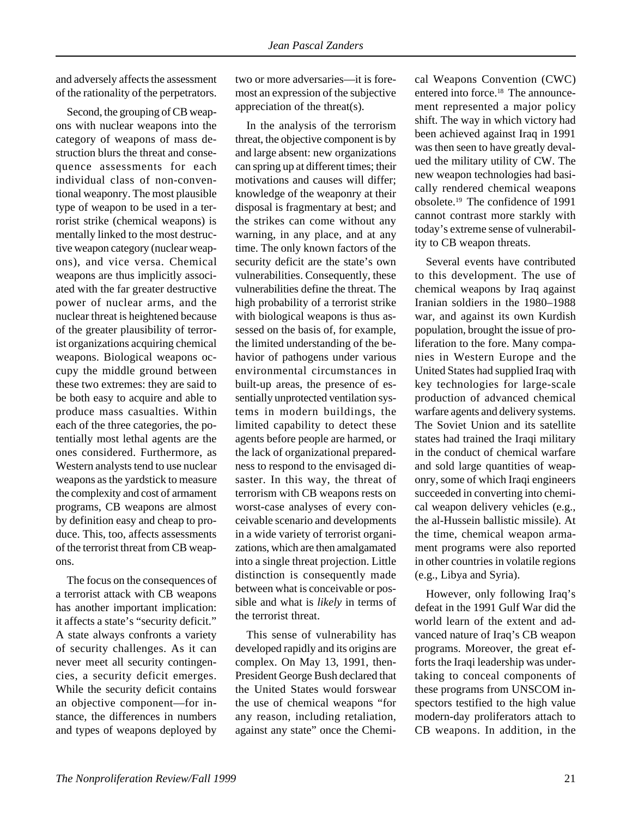and adversely affects the assessment of the rationality of the perpetrators.

Second, the grouping of CB weapons with nuclear weapons into the category of weapons of mass destruction blurs the threat and consequence assessments for each individual class of non-conventional weaponry. The most plausible type of weapon to be used in a terrorist strike (chemical weapons) is mentally linked to the most destructive weapon category (nuclear weapons), and vice versa. Chemical weapons are thus implicitly associated with the far greater destructive power of nuclear arms, and the nuclear threat is heightened because of the greater plausibility of terrorist organizations acquiring chemical weapons. Biological weapons occupy the middle ground between these two extremes: they are said to be both easy to acquire and able to produce mass casualties. Within each of the three categories, the potentially most lethal agents are the ones considered. Furthermore, as Western analysts tend to use nuclear weapons as the yardstick to measure the complexity and cost of armament programs, CB weapons are almost by definition easy and cheap to produce. This, too, affects assessments of the terrorist threat from CB weapons.

The focus on the consequences of a terrorist attack with CB weapons has another important implication: it affects a state's "security deficit." A state always confronts a variety of security challenges. As it can never meet all security contingencies, a security deficit emerges. While the security deficit contains an objective component—for instance, the differences in numbers and types of weapons deployed by

two or more adversaries—it is foremost an expression of the subjective appreciation of the threat(s).

In the analysis of the terrorism threat, the objective component is by and large absent: new organizations can spring up at different times; their motivations and causes will differ; knowledge of the weaponry at their disposal is fragmentary at best; and the strikes can come without any warning, in any place, and at any time. The only known factors of the security deficit are the state's own vulnerabilities. Consequently, these vulnerabilities define the threat. The high probability of a terrorist strike with biological weapons is thus assessed on the basis of, for example, the limited understanding of the behavior of pathogens under various environmental circumstances in built-up areas, the presence of essentially unprotected ventilation systems in modern buildings, the limited capability to detect these agents before people are harmed, or the lack of organizational preparedness to respond to the envisaged disaster. In this way, the threat of terrorism with CB weapons rests on worst-case analyses of every conceivable scenario and developments in a wide variety of terrorist organizations, which are then amalgamated into a single threat projection. Little distinction is consequently made between what is conceivable or possible and what is *likely* in terms of the terrorist threat.

This sense of vulnerability has developed rapidly and its origins are complex. On May 13, 1991, then-President George Bush declared that the United States would forswear the use of chemical weapons "for any reason, including retaliation, against any state" once the Chemical Weapons Convention (CWC) entered into force.<sup>18</sup> The announcement represented a major policy shift. The way in which victory had been achieved against Iraq in 1991 was then seen to have greatly devalued the military utility of CW. The new weapon technologies had basically rendered chemical weapons obsolete.19 The confidence of 1991 cannot contrast more starkly with today's extreme sense of vulnerability to CB weapon threats.

Several events have contributed to this development. The use of chemical weapons by Iraq against Iranian soldiers in the 1980–1988 war, and against its own Kurdish population, brought the issue of proliferation to the fore. Many companies in Western Europe and the United States had supplied Iraq with key technologies for large-scale production of advanced chemical warfare agents and delivery systems. The Soviet Union and its satellite states had trained the Iraqi military in the conduct of chemical warfare and sold large quantities of weaponry, some of which Iraqi engineers succeeded in converting into chemical weapon delivery vehicles (e.g., the al-Hussein ballistic missile). At the time, chemical weapon armament programs were also reported in other countries in volatile regions (e.g., Libya and Syria).

However, only following Iraq's defeat in the 1991 Gulf War did the world learn of the extent and advanced nature of Iraq's CB weapon programs. Moreover, the great efforts the Iraqi leadership was undertaking to conceal components of these programs from UNSCOM inspectors testified to the high value modern-day proliferators attach to CB weapons. In addition, in the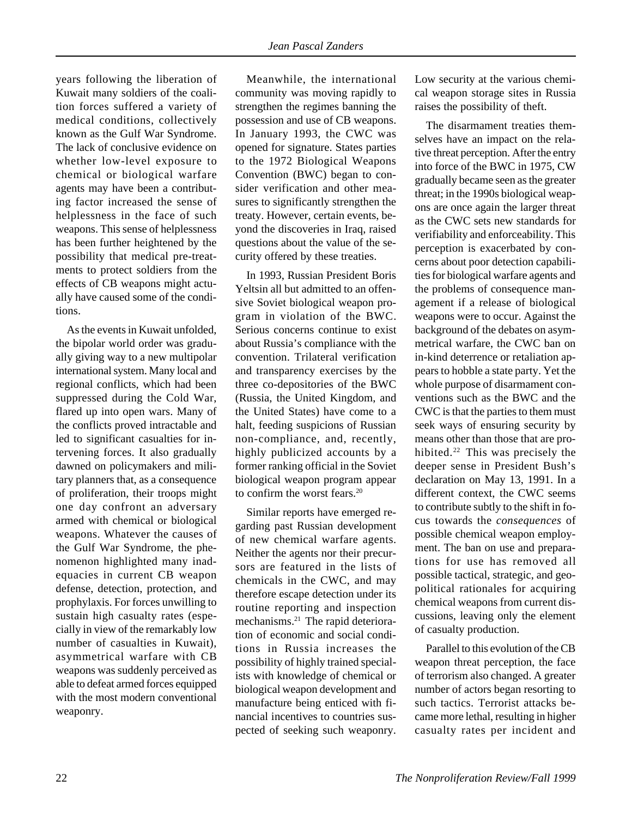years following the liberation of Kuwait many soldiers of the coalition forces suffered a variety of medical conditions, collectively known as the Gulf War Syndrome. The lack of conclusive evidence on whether low-level exposure to chemical or biological warfare agents may have been a contributing factor increased the sense of helplessness in the face of such weapons. This sense of helplessness has been further heightened by the possibility that medical pre-treatments to protect soldiers from the effects of CB weapons might actually have caused some of the conditions.

As the events in Kuwait unfolded, the bipolar world order was gradually giving way to a new multipolar international system. Many local and regional conflicts, which had been suppressed during the Cold War, flared up into open wars. Many of the conflicts proved intractable and led to significant casualties for intervening forces. It also gradually dawned on policymakers and military planners that, as a consequence of proliferation, their troops might one day confront an adversary armed with chemical or biological weapons. Whatever the causes of the Gulf War Syndrome, the phenomenon highlighted many inadequacies in current CB weapon defense, detection, protection, and prophylaxis. For forces unwilling to sustain high casualty rates (especially in view of the remarkably low number of casualties in Kuwait), asymmetrical warfare with CB weapons was suddenly perceived as able to defeat armed forces equipped with the most modern conventional weaponry.

Meanwhile, the international community was moving rapidly to strengthen the regimes banning the possession and use of CB weapons. In January 1993, the CWC was opened for signature. States parties to the 1972 Biological Weapons Convention (BWC) began to consider verification and other measures to significantly strengthen the treaty. However, certain events, beyond the discoveries in Iraq, raised questions about the value of the security offered by these treaties.

In 1993, Russian President Boris Yeltsin all but admitted to an offensive Soviet biological weapon program in violation of the BWC. Serious concerns continue to exist about Russia's compliance with the convention. Trilateral verification and transparency exercises by the three co-depositories of the BWC (Russia, the United Kingdom, and the United States) have come to a halt, feeding suspicions of Russian non-compliance, and, recently, highly publicized accounts by a former ranking official in the Soviet biological weapon program appear to confirm the worst fears.<sup>20</sup>

Similar reports have emerged regarding past Russian development of new chemical warfare agents. Neither the agents nor their precursors are featured in the lists of chemicals in the CWC, and may therefore escape detection under its routine reporting and inspection mechanisms.21 The rapid deterioration of economic and social conditions in Russia increases the possibility of highly trained specialists with knowledge of chemical or biological weapon development and manufacture being enticed with financial incentives to countries suspected of seeking such weaponry.

Low security at the various chemical weapon storage sites in Russia raises the possibility of theft.

The disarmament treaties themselves have an impact on the relative threat perception. After the entry into force of the BWC in 1975, CW gradually became seen as the greater threat; in the 1990s biological weapons are once again the larger threat as the CWC sets new standards for verifiability and enforceability. This perception is exacerbated by concerns about poor detection capabilities for biological warfare agents and the problems of consequence management if a release of biological weapons were to occur. Against the background of the debates on asymmetrical warfare, the CWC ban on in-kind deterrence or retaliation appears to hobble a state party. Yet the whole purpose of disarmament conventions such as the BWC and the CWC is that the parties to them must seek ways of ensuring security by means other than those that are prohibited.22 This was precisely the deeper sense in President Bush's declaration on May 13, 1991. In a different context, the CWC seems to contribute subtly to the shift in focus towards the *consequences* of possible chemical weapon employment. The ban on use and preparations for use has removed all possible tactical, strategic, and geopolitical rationales for acquiring chemical weapons from current discussions, leaving only the element of casualty production.

Parallel to this evolution of the CB weapon threat perception, the face of terrorism also changed. A greater number of actors began resorting to such tactics. Terrorist attacks became more lethal, resulting in higher casualty rates per incident and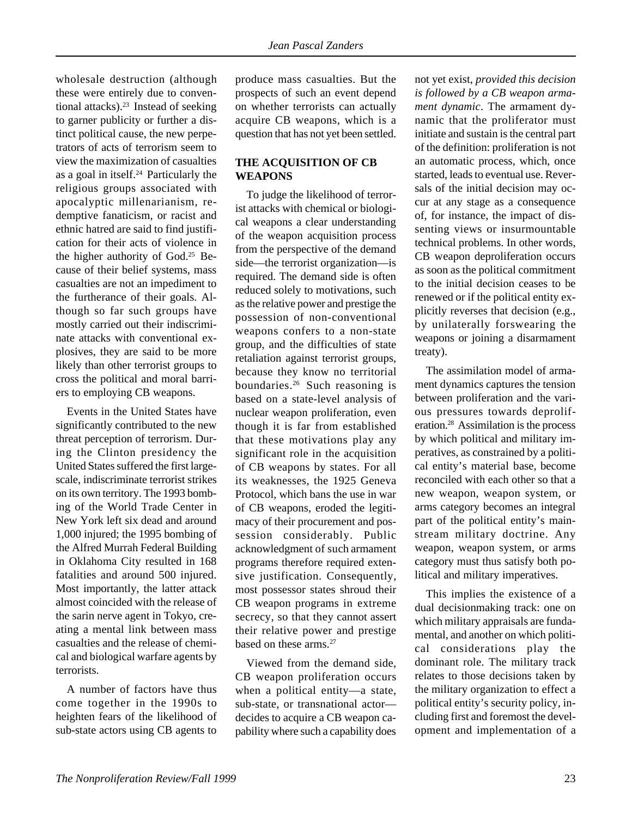wholesale destruction (although these were entirely due to conventional attacks).23 Instead of seeking to garner publicity or further a distinct political cause, the new perpetrators of acts of terrorism seem to view the maximization of casualties as a goal in itself.<sup>24</sup> Particularly the religious groups associated with apocalyptic millenarianism, redemptive fanaticism, or racist and ethnic hatred are said to find justification for their acts of violence in the higher authority of God.25 Because of their belief systems, mass casualties are not an impediment to the furtherance of their goals. Although so far such groups have mostly carried out their indiscriminate attacks with conventional explosives, they are said to be more likely than other terrorist groups to cross the political and moral barriers to employing CB weapons.

Events in the United States have significantly contributed to the new threat perception of terrorism. During the Clinton presidency the United States suffered the first largescale, indiscriminate terrorist strikes on its own territory. The 1993 bombing of the World Trade Center in New York left six dead and around 1,000 injured; the 1995 bombing of the Alfred Murrah Federal Building in Oklahoma City resulted in 168 fatalities and around 500 injured. Most importantly, the latter attack almost coincided with the release of the sarin nerve agent in Tokyo, creating a mental link between mass casualties and the release of chemical and biological warfare agents by terrorists.

A number of factors have thus come together in the 1990s to heighten fears of the likelihood of sub-state actors using CB agents to

produce mass casualties. But the prospects of such an event depend on whether terrorists can actually acquire CB weapons, which is a question that has not yet been settled.

# **THE ACQUISITION OF CB WEAPONS**

To judge the likelihood of terrorist attacks with chemical or biological weapons a clear understanding of the weapon acquisition process from the perspective of the demand side—the terrorist organization—is required. The demand side is often reduced solely to motivations, such as the relative power and prestige the possession of non-conventional weapons confers to a non-state group, and the difficulties of state retaliation against terrorist groups, because they know no territorial boundaries.26 Such reasoning is based on a state-level analysis of nuclear weapon proliferation, even though it is far from established that these motivations play any significant role in the acquisition of CB weapons by states. For all its weaknesses, the 1925 Geneva Protocol, which bans the use in war of CB weapons, eroded the legitimacy of their procurement and possession considerably. Public acknowledgment of such armament programs therefore required extensive justification. Consequently, most possessor states shroud their CB weapon programs in extreme secrecy, so that they cannot assert their relative power and prestige based on these arms.<sup>27</sup>

Viewed from the demand side, CB weapon proliferation occurs when a political entity—a state, sub-state, or transnational actor decides to acquire a CB weapon capability where such a capability does

not yet exist, *provided this decision is followed by a CB weapon armament dynamic*. The armament dynamic that the proliferator must initiate and sustain is the central part of the definition: proliferation is not an automatic process, which, once started, leads to eventual use. Reversals of the initial decision may occur at any stage as a consequence of, for instance, the impact of dissenting views or insurmountable technical problems. In other words, CB weapon deproliferation occurs as soon as the political commitment to the initial decision ceases to be renewed or if the political entity explicitly reverses that decision (e.g., by unilaterally forswearing the weapons or joining a disarmament treaty).

The assimilation model of armament dynamics captures the tension between proliferation and the various pressures towards deproliferation.28 Assimilation is the process by which political and military imperatives, as constrained by a political entity's material base, become reconciled with each other so that a new weapon, weapon system, or arms category becomes an integral part of the political entity's mainstream military doctrine. Any weapon, weapon system, or arms category must thus satisfy both political and military imperatives.

This implies the existence of a dual decisionmaking track: one on which military appraisals are fundamental, and another on which political considerations play the dominant role. The military track relates to those decisions taken by the military organization to effect a political entity's security policy, including first and foremost the development and implementation of a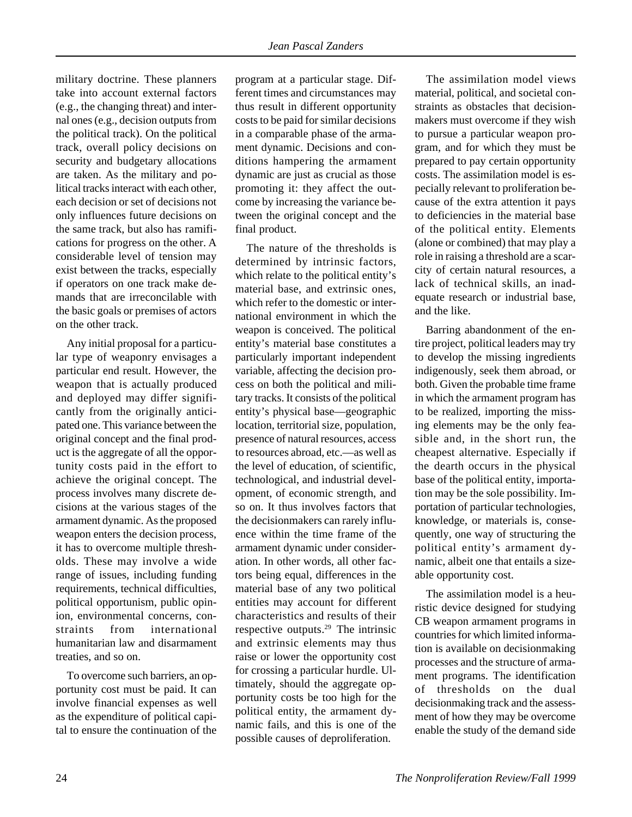military doctrine. These planners take into account external factors (e.g., the changing threat) and internal ones (e.g., decision outputs from the political track). On the political track, overall policy decisions on security and budgetary allocations are taken. As the military and political tracks interact with each other, each decision or set of decisions not only influences future decisions on the same track, but also has ramifications for progress on the other. A considerable level of tension may exist between the tracks, especially if operators on one track make demands that are irreconcilable with the basic goals or premises of actors on the other track.

Any initial proposal for a particular type of weaponry envisages a particular end result. However, the weapon that is actually produced and deployed may differ significantly from the originally anticipated one. This variance between the original concept and the final product is the aggregate of all the opportunity costs paid in the effort to achieve the original concept. The process involves many discrete decisions at the various stages of the armament dynamic. As the proposed weapon enters the decision process, it has to overcome multiple thresholds. These may involve a wide range of issues, including funding requirements, technical difficulties, political opportunism, public opinion, environmental concerns, constraints from international humanitarian law and disarmament treaties, and so on.

To overcome such barriers, an opportunity cost must be paid. It can involve financial expenses as well as the expenditure of political capital to ensure the continuation of the program at a particular stage. Different times and circumstances may thus result in different opportunity costs to be paid for similar decisions in a comparable phase of the armament dynamic. Decisions and conditions hampering the armament dynamic are just as crucial as those promoting it: they affect the outcome by increasing the variance between the original concept and the final product.

The nature of the thresholds is determined by intrinsic factors, which relate to the political entity's material base, and extrinsic ones, which refer to the domestic or international environment in which the weapon is conceived. The political entity's material base constitutes a particularly important independent variable, affecting the decision process on both the political and military tracks. It consists of the political entity's physical base—geographic location, territorial size, population, presence of natural resources, access to resources abroad, etc.—as well as the level of education, of scientific, technological, and industrial development, of economic strength, and so on. It thus involves factors that the decisionmakers can rarely influence within the time frame of the armament dynamic under consideration. In other words, all other factors being equal, differences in the material base of any two political entities may account for different characteristics and results of their respective outputs.29 The intrinsic and extrinsic elements may thus raise or lower the opportunity cost for crossing a particular hurdle. Ultimately, should the aggregate opportunity costs be too high for the political entity, the armament dynamic fails, and this is one of the possible causes of deproliferation.

The assimilation model views material, political, and societal constraints as obstacles that decisionmakers must overcome if they wish to pursue a particular weapon program, and for which they must be prepared to pay certain opportunity costs. The assimilation model is especially relevant to proliferation because of the extra attention it pays to deficiencies in the material base of the political entity. Elements (alone or combined) that may play a role in raising a threshold are a scarcity of certain natural resources, a lack of technical skills, an inadequate research or industrial base, and the like.

Barring abandonment of the entire project, political leaders may try to develop the missing ingredients indigenously, seek them abroad, or both. Given the probable time frame in which the armament program has to be realized, importing the missing elements may be the only feasible and, in the short run, the cheapest alternative. Especially if the dearth occurs in the physical base of the political entity, importation may be the sole possibility. Importation of particular technologies, knowledge, or materials is, consequently, one way of structuring the political entity's armament dynamic, albeit one that entails a sizeable opportunity cost.

The assimilation model is a heuristic device designed for studying CB weapon armament programs in countries for which limited information is available on decisionmaking processes and the structure of armament programs. The identification of thresholds on the dual decisionmaking track and the assessment of how they may be overcome enable the study of the demand side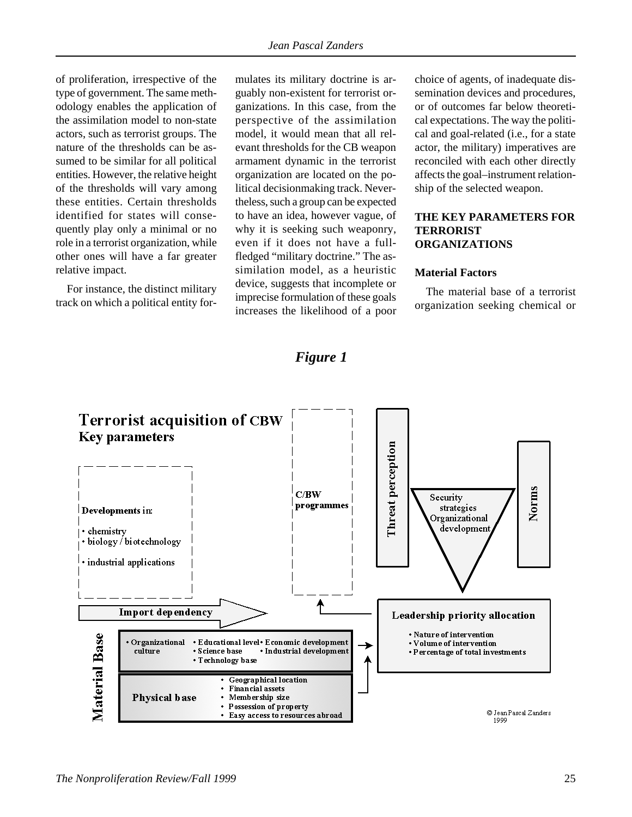of proliferation, irrespective of the type of government. The same methodology enables the application of the assimilation model to non-state actors, such as terrorist groups. The nature of the thresholds can be assumed to be similar for all political entities. However, the relative height of the thresholds will vary among these entities. Certain thresholds identified for states will consequently play only a minimal or no role in a terrorist organization, while other ones will have a far greater relative impact.

For instance, the distinct military track on which a political entity formulates its military doctrine is arguably non-existent for terrorist organizations. In this case, from the perspective of the assimilation model, it would mean that all relevant thresholds for the CB weapon armament dynamic in the terrorist organization are located on the political decisionmaking track. Nevertheless, such a group can be expected to have an idea, however vague, of why it is seeking such weaponry, even if it does not have a fullfledged "military doctrine." The assimilation model, as a heuristic device, suggests that incomplete or imprecise formulation of these goals increases the likelihood of a poor

choice of agents, of inadequate dissemination devices and procedures, or of outcomes far below theoretical expectations. The way the political and goal-related (i.e., for a state actor, the military) imperatives are reconciled with each other directly affects the goal–instrument relationship of the selected weapon.

#### **THE KEY PARAMETERS FOR TERRORIST ORGANIZATIONS**

#### **Material Factors**

The material base of a terrorist organization seeking chemical or



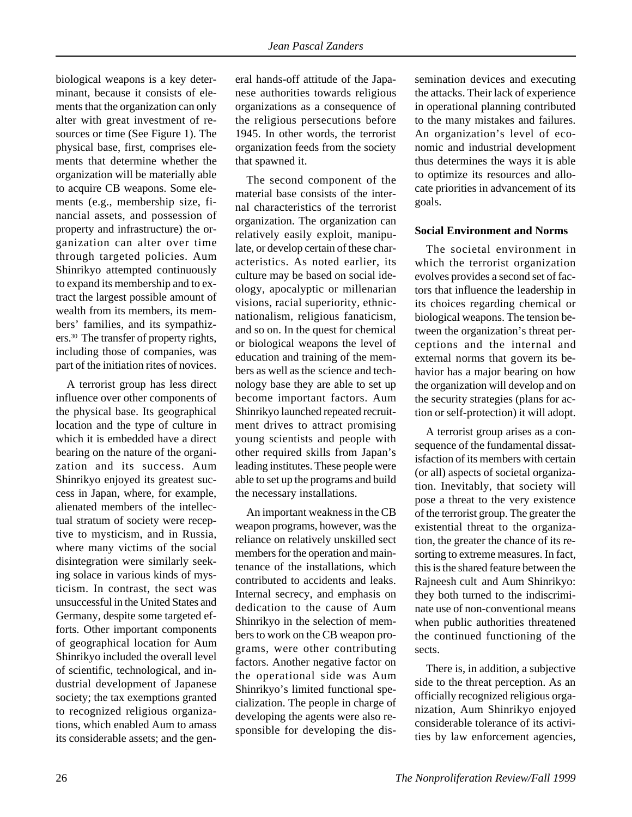biological weapons is a key determinant, because it consists of elements that the organization can only alter with great investment of resources or time (See Figure 1). The physical base, first, comprises elements that determine whether the organization will be materially able to acquire CB weapons. Some elements (e.g., membership size, financial assets, and possession of property and infrastructure) the organization can alter over time through targeted policies. Aum Shinrikyo attempted continuously to expand its membership and to extract the largest possible amount of wealth from its members, its members' families, and its sympathizers.30 The transfer of property rights, including those of companies, was part of the initiation rites of novices.

A terrorist group has less direct influence over other components of the physical base. Its geographical location and the type of culture in which it is embedded have a direct bearing on the nature of the organization and its success. Aum Shinrikyo enjoyed its greatest success in Japan, where, for example, alienated members of the intellectual stratum of society were receptive to mysticism, and in Russia, where many victims of the social disintegration were similarly seeking solace in various kinds of mysticism. In contrast, the sect was unsuccessful in the United States and Germany, despite some targeted efforts. Other important components of geographical location for Aum Shinrikyo included the overall level of scientific, technological, and industrial development of Japanese society; the tax exemptions granted to recognized religious organizations, which enabled Aum to amass its considerable assets; and the general hands-off attitude of the Japanese authorities towards religious organizations as a consequence of the religious persecutions before 1945. In other words, the terrorist organization feeds from the society that spawned it.

The second component of the material base consists of the internal characteristics of the terrorist organization. The organization can relatively easily exploit, manipulate, or develop certain of these characteristics. As noted earlier, its culture may be based on social ideology, apocalyptic or millenarian visions, racial superiority, ethnicnationalism, religious fanaticism, and so on. In the quest for chemical or biological weapons the level of education and training of the members as well as the science and technology base they are able to set up become important factors. Aum Shinrikyo launched repeated recruitment drives to attract promising young scientists and people with other required skills from Japan's leading institutes. These people were able to set up the programs and build the necessary installations.

An important weakness in the CB weapon programs, however, was the reliance on relatively unskilled sect members for the operation and maintenance of the installations, which contributed to accidents and leaks. Internal secrecy, and emphasis on dedication to the cause of Aum Shinrikyo in the selection of members to work on the CB weapon programs, were other contributing factors. Another negative factor on the operational side was Aum Shinrikyo's limited functional specialization. The people in charge of developing the agents were also responsible for developing the dissemination devices and executing the attacks. Their lack of experience in operational planning contributed to the many mistakes and failures. An organization's level of economic and industrial development thus determines the ways it is able to optimize its resources and allocate priorities in advancement of its goals.

#### **Social Environment and Norms**

The societal environment in which the terrorist organization evolves provides a second set of factors that influence the leadership in its choices regarding chemical or biological weapons. The tension between the organization's threat perceptions and the internal and external norms that govern its behavior has a major bearing on how the organization will develop and on the security strategies (plans for action or self-protection) it will adopt.

A terrorist group arises as a consequence of the fundamental dissatisfaction of its members with certain (or all) aspects of societal organization. Inevitably, that society will pose a threat to the very existence of the terrorist group. The greater the existential threat to the organization, the greater the chance of its resorting to extreme measures. In fact, this is the shared feature between the Rajneesh cult and Aum Shinrikyo: they both turned to the indiscriminate use of non-conventional means when public authorities threatened the continued functioning of the sects.

There is, in addition, a subjective side to the threat perception. As an officially recognized religious organization, Aum Shinrikyo enjoyed considerable tolerance of its activities by law enforcement agencies,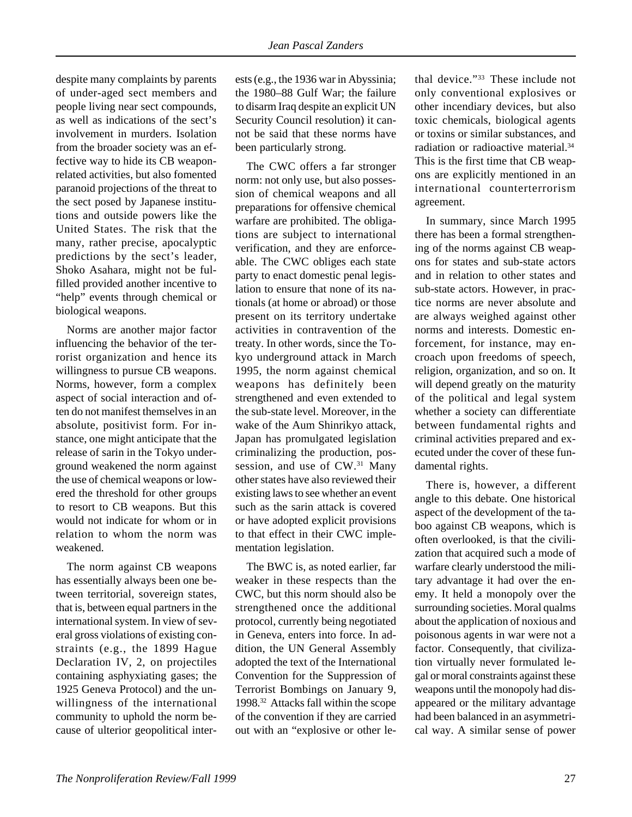despite many complaints by parents of under-aged sect members and people living near sect compounds, as well as indications of the sect's involvement in murders. Isolation from the broader society was an effective way to hide its CB weaponrelated activities, but also fomented paranoid projections of the threat to the sect posed by Japanese institutions and outside powers like the United States. The risk that the many, rather precise, apocalyptic predictions by the sect's leader, Shoko Asahara, might not be fulfilled provided another incentive to "help" events through chemical or biological weapons.

Norms are another major factor influencing the behavior of the terrorist organization and hence its willingness to pursue CB weapons. Norms, however, form a complex aspect of social interaction and often do not manifest themselves in an absolute, positivist form. For instance, one might anticipate that the release of sarin in the Tokyo underground weakened the norm against the use of chemical weapons or lowered the threshold for other groups to resort to CB weapons. But this would not indicate for whom or in relation to whom the norm was weakened.

The norm against CB weapons has essentially always been one between territorial, sovereign states, that is, between equal partners in the international system. In view of several gross violations of existing constraints (e.g., the 1899 Hague Declaration IV, 2, on projectiles containing asphyxiating gases; the 1925 Geneva Protocol) and the unwillingness of the international community to uphold the norm because of ulterior geopolitical interests (e.g., the 1936 war in Abyssinia; the 1980–88 Gulf War; the failure to disarm Iraq despite an explicit UN Security Council resolution) it cannot be said that these norms have been particularly strong.

The CWC offers a far stronger norm: not only use, but also possession of chemical weapons and all preparations for offensive chemical warfare are prohibited. The obligations are subject to international verification, and they are enforceable. The CWC obliges each state party to enact domestic penal legislation to ensure that none of its nationals (at home or abroad) or those present on its territory undertake activities in contravention of the treaty. In other words, since the Tokyo underground attack in March 1995, the norm against chemical weapons has definitely been strengthened and even extended to the sub-state level. Moreover, in the wake of the Aum Shinrikyo attack, Japan has promulgated legislation criminalizing the production, possession, and use of CW.31 Many other states have also reviewed their existing laws to see whether an event such as the sarin attack is covered or have adopted explicit provisions to that effect in their CWC implementation legislation.

The BWC is, as noted earlier, far weaker in these respects than the CWC, but this norm should also be strengthened once the additional protocol, currently being negotiated in Geneva, enters into force. In addition, the UN General Assembly adopted the text of the International Convention for the Suppression of Terrorist Bombings on January 9, 1998.32 Attacks fall within the scope of the convention if they are carried out with an "explosive or other lethal device."33 These include not only conventional explosives or other incendiary devices, but also toxic chemicals, biological agents or toxins or similar substances, and radiation or radioactive material.<sup>34</sup> This is the first time that CB weapons are explicitly mentioned in an international counterterrorism agreement.

In summary, since March 1995 there has been a formal strengthening of the norms against CB weapons for states and sub-state actors and in relation to other states and sub-state actors. However, in practice norms are never absolute and are always weighed against other norms and interests. Domestic enforcement, for instance, may encroach upon freedoms of speech, religion, organization, and so on. It will depend greatly on the maturity of the political and legal system whether a society can differentiate between fundamental rights and criminal activities prepared and executed under the cover of these fundamental rights.

There is, however, a different angle to this debate. One historical aspect of the development of the taboo against CB weapons, which is often overlooked, is that the civilization that acquired such a mode of warfare clearly understood the military advantage it had over the enemy. It held a monopoly over the surrounding societies. Moral qualms about the application of noxious and poisonous agents in war were not a factor. Consequently, that civilization virtually never formulated legal or moral constraints against these weapons until the monopoly had disappeared or the military advantage had been balanced in an asymmetrical way. A similar sense of power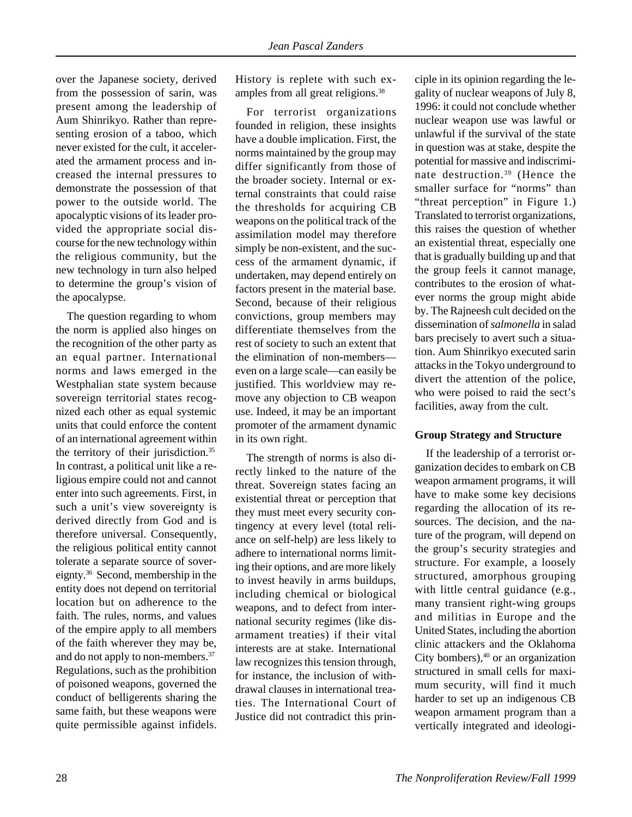over the Japanese society, derived from the possession of sarin, was present among the leadership of Aum Shinrikyo. Rather than representing erosion of a taboo, which never existed for the cult, it accelerated the armament process and increased the internal pressures to demonstrate the possession of that power to the outside world. The apocalyptic visions of its leader provided the appropriate social discourse for the new technology within the religious community, but the new technology in turn also helped to determine the group's vision of the apocalypse.

The question regarding to whom the norm is applied also hinges on the recognition of the other party as an equal partner. International norms and laws emerged in the Westphalian state system because sovereign territorial states recognized each other as equal systemic units that could enforce the content of an international agreement within the territory of their jurisdiction.35 In contrast, a political unit like a religious empire could not and cannot enter into such agreements. First, in such a unit's view sovereignty is derived directly from God and is therefore universal. Consequently, the religious political entity cannot tolerate a separate source of sovereignty.36 Second, membership in the entity does not depend on territorial location but on adherence to the faith. The rules, norms, and values of the empire apply to all members of the faith wherever they may be, and do not apply to non-members.37 Regulations, such as the prohibition of poisoned weapons, governed the conduct of belligerents sharing the same faith, but these weapons were quite permissible against infidels. History is replete with such examples from all great religions.38

For terrorist organizations founded in religion, these insights have a double implication. First, the norms maintained by the group may differ significantly from those of the broader society. Internal or external constraints that could raise the thresholds for acquiring CB weapons on the political track of the assimilation model may therefore simply be non-existent, and the success of the armament dynamic, if undertaken, may depend entirely on factors present in the material base. Second, because of their religious convictions, group members may differentiate themselves from the rest of society to such an extent that the elimination of non-members even on a large scale—can easily be justified. This worldview may remove any objection to CB weapon use. Indeed, it may be an important promoter of the armament dynamic in its own right.

The strength of norms is also directly linked to the nature of the threat. Sovereign states facing an existential threat or perception that they must meet every security contingency at every level (total reliance on self-help) are less likely to adhere to international norms limiting their options, and are more likely to invest heavily in arms buildups, including chemical or biological weapons, and to defect from international security regimes (like disarmament treaties) if their vital interests are at stake. International law recognizes this tension through, for instance, the inclusion of withdrawal clauses in international treaties. The International Court of Justice did not contradict this prin-

ciple in its opinion regarding the legality of nuclear weapons of July 8, 1996: it could not conclude whether nuclear weapon use was lawful or unlawful if the survival of the state in question was at stake, despite the potential for massive and indiscriminate destruction.<sup>39</sup> (Hence the smaller surface for "norms" than "threat perception" in Figure 1.) Translated to terrorist organizations, this raises the question of whether an existential threat, especially one that is gradually building up and that the group feels it cannot manage, contributes to the erosion of whatever norms the group might abide by. The Rajneesh cult decided on the dissemination of *salmonella* in salad bars precisely to avert such a situation. Aum Shinrikyo executed sarin attacks in the Tokyo underground to divert the attention of the police, who were poised to raid the sect's facilities, away from the cult.

# **Group Strategy and Structure**

If the leadership of a terrorist organization decides to embark on CB weapon armament programs, it will have to make some key decisions regarding the allocation of its resources. The decision, and the nature of the program, will depend on the group's security strategies and structure. For example, a loosely structured, amorphous grouping with little central guidance (e.g., many transient right-wing groups and militias in Europe and the United States, including the abortion clinic attackers and the Oklahoma City bombers),<sup>40</sup> or an organization structured in small cells for maximum security, will find it much harder to set up an indigenous CB weapon armament program than a vertically integrated and ideologi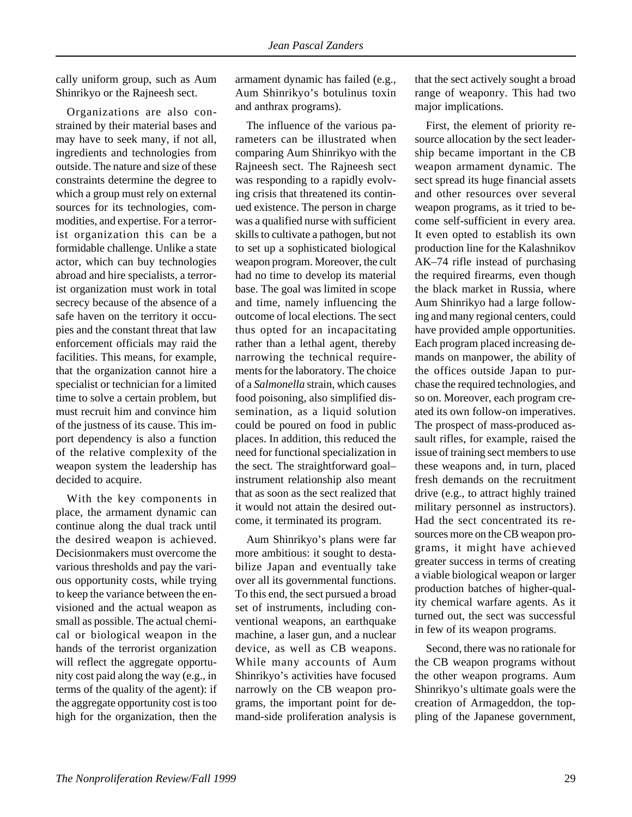cally uniform group, such as Aum Shinrikyo or the Rajneesh sect.

Organizations are also constrained by their material bases and may have to seek many, if not all, ingredients and technologies from outside. The nature and size of these constraints determine the degree to which a group must rely on external sources for its technologies, commodities, and expertise. For a terrorist organization this can be a formidable challenge. Unlike a state actor, which can buy technologies abroad and hire specialists, a terrorist organization must work in total secrecy because of the absence of a safe haven on the territory it occupies and the constant threat that law enforcement officials may raid the facilities. This means, for example, that the organization cannot hire a specialist or technician for a limited time to solve a certain problem, but must recruit him and convince him of the justness of its cause. This import dependency is also a function of the relative complexity of the weapon system the leadership has decided to acquire.

With the key components in place, the armament dynamic can continue along the dual track until the desired weapon is achieved. Decisionmakers must overcome the various thresholds and pay the various opportunity costs, while trying to keep the variance between the envisioned and the actual weapon as small as possible. The actual chemical or biological weapon in the hands of the terrorist organization will reflect the aggregate opportunity cost paid along the way (e.g., in terms of the quality of the agent): if the aggregate opportunity cost is too high for the organization, then the armament dynamic has failed (e.g., Aum Shinrikyo's botulinus toxin and anthrax programs).

The influence of the various parameters can be illustrated when comparing Aum Shinrikyo with the Rajneesh sect. The Rajneesh sect was responding to a rapidly evolving crisis that threatened its continued existence. The person in charge was a qualified nurse with sufficient skills to cultivate a pathogen, but not to set up a sophisticated biological weapon program. Moreover, the cult had no time to develop its material base. The goal was limited in scope and time, namely influencing the outcome of local elections. The sect thus opted for an incapacitating rather than a lethal agent, thereby narrowing the technical requirements for the laboratory. The choice of a *Salmonella* strain, which causes food poisoning, also simplified dissemination, as a liquid solution could be poured on food in public places. In addition, this reduced the need for functional specialization in the sect. The straightforward goal– instrument relationship also meant that as soon as the sect realized that it would not attain the desired outcome, it terminated its program.

Aum Shinrikyo's plans were far more ambitious: it sought to destabilize Japan and eventually take over all its governmental functions. To this end, the sect pursued a broad set of instruments, including conventional weapons, an earthquake machine, a laser gun, and a nuclear device, as well as CB weapons. While many accounts of Aum Shinrikyo's activities have focused narrowly on the CB weapon programs, the important point for demand-side proliferation analysis is that the sect actively sought a broad range of weaponry. This had two major implications.

First, the element of priority resource allocation by the sect leadership became important in the CB weapon armament dynamic. The sect spread its huge financial assets and other resources over several weapon programs, as it tried to become self-sufficient in every area. It even opted to establish its own production line for the Kalashnikov AK–74 rifle instead of purchasing the required firearms, even though the black market in Russia, where Aum Shinrikyo had a large following and many regional centers, could have provided ample opportunities. Each program placed increasing demands on manpower, the ability of the offices outside Japan to purchase the required technologies, and so on. Moreover, each program created its own follow-on imperatives. The prospect of mass-produced assault rifles, for example, raised the issue of training sect members to use these weapons and, in turn, placed fresh demands on the recruitment drive (e.g., to attract highly trained military personnel as instructors). Had the sect concentrated its resources more on the CB weapon programs, it might have achieved greater success in terms of creating a viable biological weapon or larger production batches of higher-quality chemical warfare agents. As it turned out, the sect was successful in few of its weapon programs.

Second, there was no rationale for the CB weapon programs without the other weapon programs. Aum Shinrikyo's ultimate goals were the creation of Armageddon, the toppling of the Japanese government,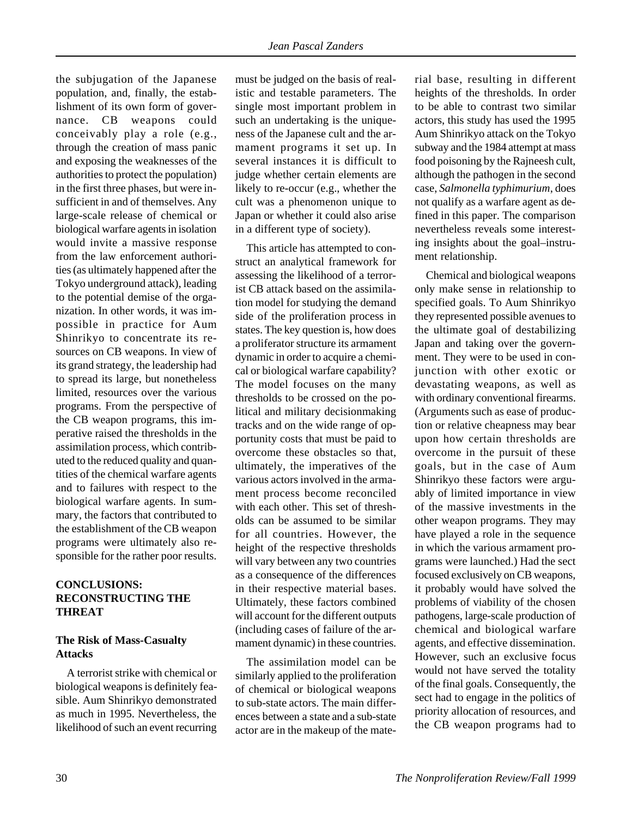the subjugation of the Japanese population, and, finally, the establishment of its own form of governance. CB weapons could conceivably play a role (e.g., through the creation of mass panic and exposing the weaknesses of the authorities to protect the population) in the first three phases, but were insufficient in and of themselves. Any large-scale release of chemical or biological warfare agents in isolation would invite a massive response from the law enforcement authorities (as ultimately happened after the Tokyo underground attack), leading to the potential demise of the organization. In other words, it was impossible in practice for Aum Shinrikyo to concentrate its resources on CB weapons. In view of its grand strategy, the leadership had to spread its large, but nonetheless limited, resources over the various programs. From the perspective of the CB weapon programs, this imperative raised the thresholds in the assimilation process, which contributed to the reduced quality and quantities of the chemical warfare agents and to failures with respect to the biological warfare agents. In summary, the factors that contributed to the establishment of the CB weapon programs were ultimately also responsible for the rather poor results.

# **CONCLUSIONS: RECONSTRUCTING THE THREAT**

### **The Risk of Mass-Casualty Attacks**

A terrorist strike with chemical or biological weapons is definitely feasible. Aum Shinrikyo demonstrated as much in 1995. Nevertheless, the likelihood of such an event recurring

must be judged on the basis of realistic and testable parameters. The single most important problem in such an undertaking is the uniqueness of the Japanese cult and the armament programs it set up. In several instances it is difficult to judge whether certain elements are likely to re-occur (e.g., whether the cult was a phenomenon unique to Japan or whether it could also arise in a different type of society).

This article has attempted to construct an analytical framework for assessing the likelihood of a terrorist CB attack based on the assimilation model for studying the demand side of the proliferation process in states. The key question is, how does a proliferator structure its armament dynamic in order to acquire a chemical or biological warfare capability? The model focuses on the many thresholds to be crossed on the political and military decisionmaking tracks and on the wide range of opportunity costs that must be paid to overcome these obstacles so that, ultimately, the imperatives of the various actors involved in the armament process become reconciled with each other. This set of thresholds can be assumed to be similar for all countries. However, the height of the respective thresholds will vary between any two countries as a consequence of the differences in their respective material bases. Ultimately, these factors combined will account for the different outputs (including cases of failure of the armament dynamic) in these countries.

The assimilation model can be similarly applied to the proliferation of chemical or biological weapons to sub-state actors. The main differences between a state and a sub-state actor are in the makeup of the material base, resulting in different heights of the thresholds. In order to be able to contrast two similar actors, this study has used the 1995 Aum Shinrikyo attack on the Tokyo subway and the 1984 attempt at mass food poisoning by the Rajneesh cult, although the pathogen in the second case, *Salmonella typhimurium*, does not qualify as a warfare agent as defined in this paper. The comparison nevertheless reveals some interesting insights about the goal–instrument relationship.

Chemical and biological weapons only make sense in relationship to specified goals. To Aum Shinrikyo they represented possible avenues to the ultimate goal of destabilizing Japan and taking over the government. They were to be used in conjunction with other exotic or devastating weapons, as well as with ordinary conventional firearms. (Arguments such as ease of production or relative cheapness may bear upon how certain thresholds are overcome in the pursuit of these goals, but in the case of Aum Shinrikyo these factors were arguably of limited importance in view of the massive investments in the other weapon programs. They may have played a role in the sequence in which the various armament programs were launched.) Had the sect focused exclusively on CB weapons, it probably would have solved the problems of viability of the chosen pathogens, large-scale production of chemical and biological warfare agents, and effective dissemination. However, such an exclusive focus would not have served the totality of the final goals. Consequently, the sect had to engage in the politics of priority allocation of resources, and the CB weapon programs had to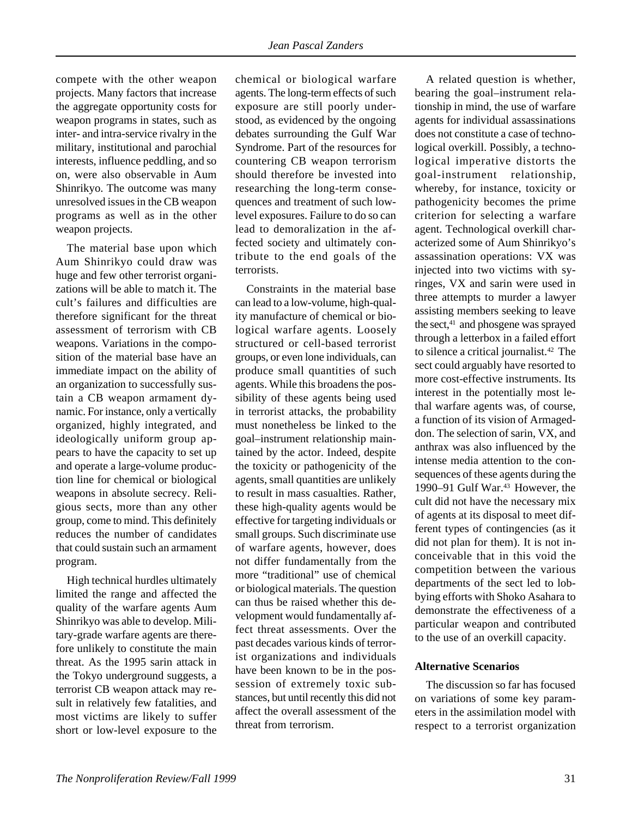compete with the other weapon projects. Many factors that increase the aggregate opportunity costs for weapon programs in states, such as inter- and intra-service rivalry in the military, institutional and parochial interests, influence peddling, and so on, were also observable in Aum Shinrikyo. The outcome was many unresolved issues in the CB weapon programs as well as in the other weapon projects.

The material base upon which Aum Shinrikyo could draw was huge and few other terrorist organizations will be able to match it. The cult's failures and difficulties are therefore significant for the threat assessment of terrorism with CB weapons. Variations in the composition of the material base have an immediate impact on the ability of an organization to successfully sustain a CB weapon armament dynamic. For instance, only a vertically organized, highly integrated, and ideologically uniform group appears to have the capacity to set up and operate a large-volume production line for chemical or biological weapons in absolute secrecy. Religious sects, more than any other group, come to mind. This definitely reduces the number of candidates that could sustain such an armament program.

High technical hurdles ultimately limited the range and affected the quality of the warfare agents Aum Shinrikyo was able to develop. Military-grade warfare agents are therefore unlikely to constitute the main threat. As the 1995 sarin attack in the Tokyo underground suggests, a terrorist CB weapon attack may result in relatively few fatalities, and most victims are likely to suffer short or low-level exposure to the chemical or biological warfare agents. The long-term effects of such exposure are still poorly understood, as evidenced by the ongoing debates surrounding the Gulf War Syndrome. Part of the resources for countering CB weapon terrorism should therefore be invested into researching the long-term consequences and treatment of such lowlevel exposures. Failure to do so can lead to demoralization in the affected society and ultimately contribute to the end goals of the terrorists.

Constraints in the material base can lead to a low-volume, high-quality manufacture of chemical or biological warfare agents. Loosely structured or cell-based terrorist groups, or even lone individuals, can produce small quantities of such agents. While this broadens the possibility of these agents being used in terrorist attacks, the probability must nonetheless be linked to the goal–instrument relationship maintained by the actor. Indeed, despite the toxicity or pathogenicity of the agents, small quantities are unlikely to result in mass casualties. Rather, these high-quality agents would be effective for targeting individuals or small groups. Such discriminate use of warfare agents, however, does not differ fundamentally from the more "traditional" use of chemical or biological materials. The question can thus be raised whether this development would fundamentally affect threat assessments. Over the past decades various kinds of terrorist organizations and individuals have been known to be in the possession of extremely toxic substances, but until recently this did not affect the overall assessment of the threat from terrorism.

A related question is whether, bearing the goal–instrument relationship in mind, the use of warfare agents for individual assassinations does not constitute a case of technological overkill. Possibly, a technological imperative distorts the goal-instrument relationship, whereby, for instance, toxicity or pathogenicity becomes the prime criterion for selecting a warfare agent. Technological overkill characterized some of Aum Shinrikyo's assassination operations: VX was injected into two victims with syringes, VX and sarin were used in three attempts to murder a lawyer assisting members seeking to leave the sect, $41$  and phosgene was sprayed through a letterbox in a failed effort to silence a critical journalist.42 The sect could arguably have resorted to more cost-effective instruments. Its interest in the potentially most lethal warfare agents was, of course, a function of its vision of Armageddon. The selection of sarin, VX, and anthrax was also influenced by the intense media attention to the consequences of these agents during the 1990–91 Gulf War.<sup>43</sup> However, the cult did not have the necessary mix of agents at its disposal to meet different types of contingencies (as it did not plan for them). It is not inconceivable that in this void the competition between the various departments of the sect led to lobbying efforts with Shoko Asahara to demonstrate the effectiveness of a particular weapon and contributed to the use of an overkill capacity.

#### **Alternative Scenarios**

The discussion so far has focused on variations of some key parameters in the assimilation model with respect to a terrorist organization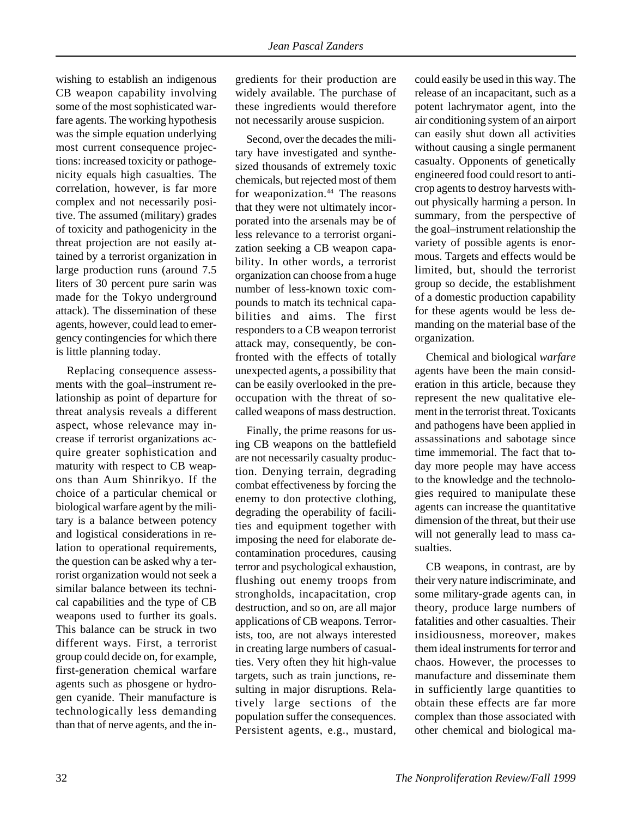wishing to establish an indigenous CB weapon capability involving some of the most sophisticated warfare agents. The working hypothesis was the simple equation underlying most current consequence projections: increased toxicity or pathogenicity equals high casualties. The correlation, however, is far more complex and not necessarily positive. The assumed (military) grades of toxicity and pathogenicity in the threat projection are not easily attained by a terrorist organization in large production runs (around 7.5 liters of 30 percent pure sarin was made for the Tokyo underground attack). The dissemination of these agents, however, could lead to emergency contingencies for which there is little planning today.

Replacing consequence assessments with the goal–instrument relationship as point of departure for threat analysis reveals a different aspect, whose relevance may increase if terrorist organizations acquire greater sophistication and maturity with respect to CB weapons than Aum Shinrikyo. If the choice of a particular chemical or biological warfare agent by the military is a balance between potency and logistical considerations in relation to operational requirements, the question can be asked why a terrorist organization would not seek a similar balance between its technical capabilities and the type of CB weapons used to further its goals. This balance can be struck in two different ways. First, a terrorist group could decide on, for example, first-generation chemical warfare agents such as phosgene or hydrogen cyanide. Their manufacture is technologically less demanding than that of nerve agents, and the in-

gredients for their production are widely available. The purchase of these ingredients would therefore not necessarily arouse suspicion.

Second, over the decades the military have investigated and synthesized thousands of extremely toxic chemicals, but rejected most of them for weaponization.<sup>44</sup> The reasons that they were not ultimately incorporated into the arsenals may be of less relevance to a terrorist organization seeking a CB weapon capability. In other words, a terrorist organization can choose from a huge number of less-known toxic compounds to match its technical capabilities and aims. The first responders to a CB weapon terrorist attack may, consequently, be confronted with the effects of totally unexpected agents, a possibility that can be easily overlooked in the preoccupation with the threat of socalled weapons of mass destruction.

Finally, the prime reasons for using CB weapons on the battlefield are not necessarily casualty production. Denying terrain, degrading combat effectiveness by forcing the enemy to don protective clothing, degrading the operability of facilities and equipment together with imposing the need for elaborate decontamination procedures, causing terror and psychological exhaustion, flushing out enemy troops from strongholds, incapacitation, crop destruction, and so on, are all major applications of CB weapons. Terrorists, too, are not always interested in creating large numbers of casualties. Very often they hit high-value targets, such as train junctions, resulting in major disruptions. Relatively large sections of the population suffer the consequences. Persistent agents, e.g., mustard,

could easily be used in this way. The release of an incapacitant, such as a potent lachrymator agent, into the air conditioning system of an airport can easily shut down all activities without causing a single permanent casualty. Opponents of genetically engineered food could resort to anticrop agents to destroy harvests without physically harming a person. In summary, from the perspective of the goal–instrument relationship the variety of possible agents is enormous. Targets and effects would be limited, but, should the terrorist group so decide, the establishment of a domestic production capability for these agents would be less demanding on the material base of the organization.

Chemical and biological *warfare* agents have been the main consideration in this article, because they represent the new qualitative element in the terrorist threat. Toxicants and pathogens have been applied in assassinations and sabotage since time immemorial. The fact that today more people may have access to the knowledge and the technologies required to manipulate these agents can increase the quantitative dimension of the threat, but their use will not generally lead to mass casualties.

CB weapons, in contrast, are by their very nature indiscriminate, and some military-grade agents can, in theory, produce large numbers of fatalities and other casualties. Their insidiousness, moreover, makes them ideal instruments for terror and chaos. However, the processes to manufacture and disseminate them in sufficiently large quantities to obtain these effects are far more complex than those associated with other chemical and biological ma-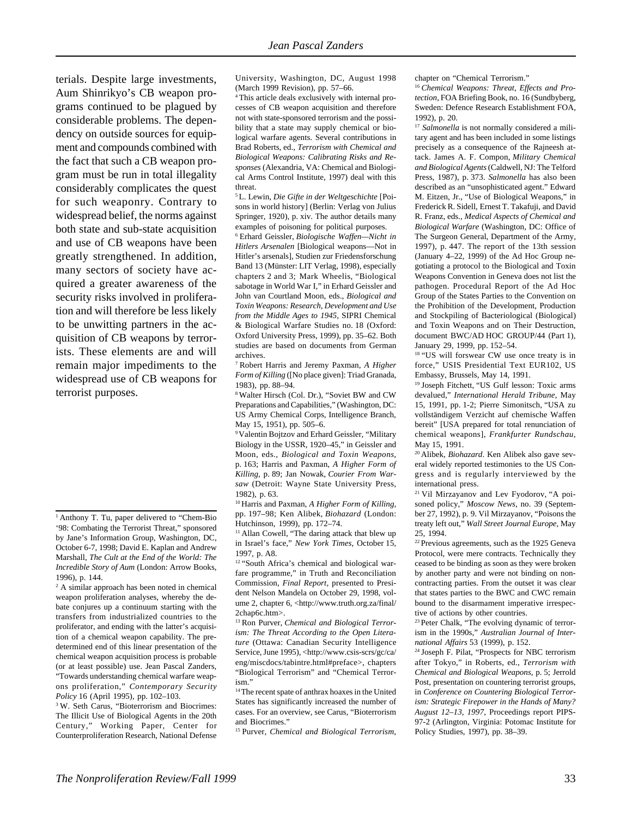terials. Despite large investments, Aum Shinrikyo's CB weapon programs continued to be plagued by considerable problems. The dependency on outside sources for equipment and compounds combined with the fact that such a CB weapon program must be run in total illegality considerably complicates the quest for such weaponry. Contrary to widespread belief, the norms against both state and sub-state acquisition and use of CB weapons have been greatly strengthened. In addition, many sectors of society have acquired a greater awareness of the security risks involved in proliferation and will therefore be less likely to be unwitting partners in the acquisition of CB weapons by terrorists. These elements are and will remain major impediments to the widespread use of CB weapons for terrorist purposes.

2 A similar approach has been noted in chemical weapon proliferation analyses, whereby the debate conjures up a continuum starting with the transfers from industrialized countries to the proliferator, and ending with the latter's acquisition of a chemical weapon capability. The predetermined end of this linear presentation of the chemical weapon acquisition process is probable (or at least possible) use. Jean Pascal Zanders, "Towards understanding chemical warfare weapons proliferation," *Contemporary Security Policy* 16 (April 1995), pp. 102–103.

3 W. Seth Carus, "Bioterrorism and Biocrimes: The Illicit Use of Biological Agents in the 20th Century," Working Paper, Center for Counterproliferation Research, National Defense

University, Washington, DC, August 1998 (March 1999 Revision), pp. 57–66.

4 This article deals exclusively with internal processes of CB weapon acquisition and therefore not with state-sponsored terrorism and the possibility that a state may supply chemical or biological warfare agents. Several contributions in Brad Roberts, ed., *Terrorism with Chemical and Biological Weapons: Calibrating Risks and Responses* (Alexandria, VA: Chemical and Biological Arms Control Institute, 1997) deal with this threat.

5 L. Lewin, *Die Gifte in der Weltgeschichte* [Poisons in world history] (Berlin: Verlag von Julius Springer, 1920), p. xiv. The author details many examples of poisoning for political purposes.

6 Erhard Geissler, *Biologische Waffen—Nicht in Hitlers Arsenalen* [Biological weapons—Not in Hitler's arsenals], Studien zur Friedensforschung Band 13 (Münster: LIT Verlag, 1998), especially chapters 2 and 3; Mark Wheelis, "Biological sabotage in World War I," in Erhard Geissler and John van Courtland Moon, eds., *Biological and Toxin Weapons: Research, Development and Use from the Middle Ages to 1945*, SIPRI Chemical & Biological Warfare Studies no. 18 (Oxford: Oxford University Press, 1999), pp. 35–62. Both studies are based on documents from German archives.

7 Robert Harris and Jeremy Paxman, *A Higher Form of Killing* ([No place given]: Triad Granada, 1983), pp. 88–94.

8 Walter Hirsch (Col. Dr.), "Soviet BW and CW Preparations and Capabilities," (Washington, DC: US Army Chemical Corps, Intelligence Branch, May 15, 1951), pp. 505–6.

9 Valentin Bojtzov and Erhard Geissler, "Military Biology in the USSR, 1920–45," in Geissler and Moon, eds., *Biological and Toxin Weapons*, p. 163; Harris and Paxman, *A Higher Form of Killing,* p. 89; Jan Nowak, *Courier From Warsaw* (Detroit: Wayne State University Press, 1982), p. 63.

10 Harris and Paxman, *A Higher Form of Killing,* pp. 197–98; Ken Alibek, *Biohazard* (London: Hutchinson, 1999), pp. 172–74.

<sup>11</sup> Allan Cowell, "The daring attack that blew up in Israel's face," *New York Times*, October 15, 1997, p. A8.

<sup>12</sup> "South Africa's chemical and biological warfare programme," in Truth and Reconciliation Commission, *Final Report*, presented to President Nelson Mandela on October 29, 1998, volume 2, chapter 6, <http://www.truth.org.za/final/ 2chap6c.htm>.

13 Ron Purver, *Chemical and Biological Terrorism: The Threat According to the Open Literature* (Ottawa: Canadian Security Intelligence Service, June 1995), <http://www.csis-scrs/gc/ca/ eng/miscdocs/tabintre.html#preface>, chapters "Biological Terrorism" and "Chemical Terrorism."

14 The recent spate of anthrax hoaxes in the United States has significantly increased the number of cases. For an overview, see Carus, "Bioterrorism and Biocrimes."

15 Purver, *Chemical and Biological Terrorism*,

chapter on "Chemical Terrorism."

16 *Chemical Weapons: Threat, Effects and Protection*, FOA Briefing Book, no. 16 (Sundbyberg, Sweden: Defence Research Establishment FOA, 1992), p. 20.

<sup>17</sup> *Salmonella* is not normally considered a military agent and has been included in some listings precisely as a consequence of the Rajneesh attack. James A. F. Compon, *Military Chemical and Biological Agents* (Caldwell, NJ: The Telford Press, 1987), p. 373. *Salmonella* has also been described as an "unsophisticated agent." Edward M. Eitzen, Jr., "Use of Biological Weapons," in Frederick R. Sidell, Ernest T. Takafuji, and David R. Franz, eds., *Medical Aspects of Chemical and Biological Warfare* (Washington, DC: Office of The Surgeon General, Department of the Army, 1997), p. 447. The report of the 13th session (January 4–22, 1999) of the Ad Hoc Group negotiating a protocol to the Biological and Toxin Weapons Convention in Geneva does not list the pathogen. Procedural Report of the Ad Hoc Group of the States Parties to the Convention on the Prohibition of the Development, Production and Stockpiling of Bacteriological (Biological) and Toxin Weapons and on Their Destruction, document BWC/AD HOC GROUP/44 (Part 1), January 29, 1999, pp. 152–54.

<sup>18</sup> "US will forswear CW use once treaty is in force," USIS Presidential Text EUR102, US Embassy, Brussels, May 14, 1991.

19 Joseph Fitchett, "US Gulf lesson: Toxic arms devalued," *International Herald Tribune*, May 15, 1991, pp. 1-2; Pierre Simonitsch, "USA zu vollständigem Verzicht auf chemische Waffen bereit" [USA prepared for total renunciation of chemical weapons], *Frankfurter Rundschau*, May 15, 1991.

20 Alibek, *Biohazard*. Ken Alibek also gave several widely reported testimonies to the US Congress and is regularly interviewed by the international press.

21 Vil Mirzayanov and Lev Fyodorov, "A poisoned policy," *Moscow News*, no. 39 (September 27, 1992), p. 9. Vil Mirzayanov, "Poisons the treaty left out," *Wall Street Journal Europe,* May 25, 1994.

22 Previous agreements, such as the 1925 Geneva Protocol, were mere contracts. Technically they ceased to be binding as soon as they were broken by another party and were not binding on noncontracting parties. From the outset it was clear that states parties to the BWC and CWC remain bound to the disarmament imperative irrespective of actions by other countries.

23 Peter Chalk, "The evolving dynamic of terrorism in the 1990s," *Australian Journal of International Affairs* 53 (1999), p. 152.

24 Joseph F. Pilat, "Prospects for NBC terrorism after Tokyo," in Roberts, ed., *Terrorism with Chemical and Biological Weapons*, p. 5; Jerrold Post, presentation on countering terrorist groups, in *Conference on Countering Biological Terrorism: Strategic Firepower in the Hands of Many? August 12–13, 1997*, Proceedings report PIPS-97-2 (Arlington, Virginia: Potomac Institute for Policy Studies, 1997), pp. 38–39.

<sup>&</sup>lt;sup>1</sup> Anthony T. Tu, paper delivered to "Chem-Bio" '98: Combating the Terrorist Threat," sponsored by Jane's Information Group, Washington, DC, October 6-7, 1998; David E. Kaplan and Andrew Marshall, *The Cult at the End of the World: The Incredible Story of Aum* (London: Arrow Books, 1996), p. 144.